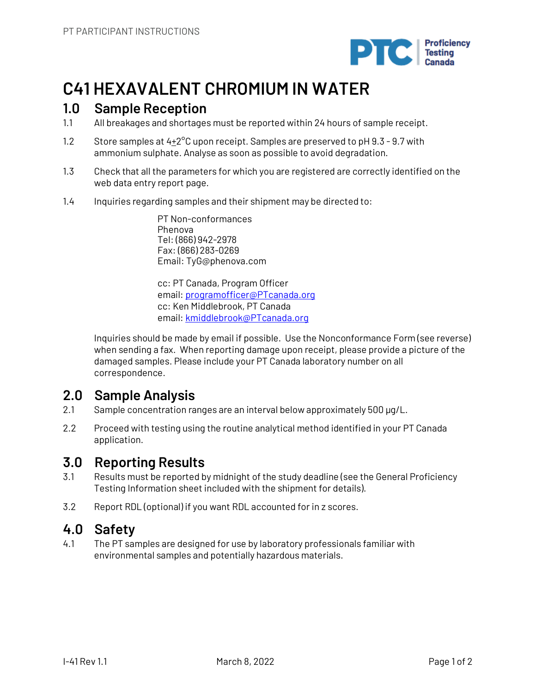

# **C41 HEXAVALENT CHROMIUM IN WATER**

## **1.0 Sample Reception**

- 1.1 All breakages and shortages must be reported within 24 hours of sample receipt.
- 1.2 Store samples at  $4+2^{\circ}$ C upon receipt. Samples are preserved to pH 9.3 9.7 with ammonium sulphate. Analyse as soon as possible to avoid degradation.
- 1.3 Check that all the parameters for which you are registered are correctly identified on the web data entry report page.
- 1.4 Inquiries regarding samples and their shipment may be directed to:

PT Non-conformances Phenova Tel: (866) 942-2978 Fax: (866) 283-0269 Email: TyG@phenova.com

cc: PT Canada, Program Officer email: programofficer@PTcanada.org cc: Ken Middlebrook, PT Canada email: kmiddlebrook@PTcanada.org

Inquiries should be made by email if possible. Use the Nonconformance Form (see reverse) when sending a fax. When reporting damage upon receipt, please provide a picture of the damaged samples. Please include your PT Canada laboratory number on all correspondence.

# **2.0 Sample Analysis**

- 2.1 Sample concentration ranges are an interval below approximately 500 µg/L.
- 2.2 Proceed with testing using the routine analytical method identified in your PT Canada application.

# **3.0 Reporting Results**

- 3.1 Results must be reported by midnight of the study deadline (see the General Proficiency Testing Information sheet included with the shipment for details).
- 3.2 Report RDL (optional) if you want RDL accounted for in z scores.

## **4.0 Safety**

4.1 The PT samples are designed for use by laboratory professionals familiar with environmental samples and potentially hazardous materials.